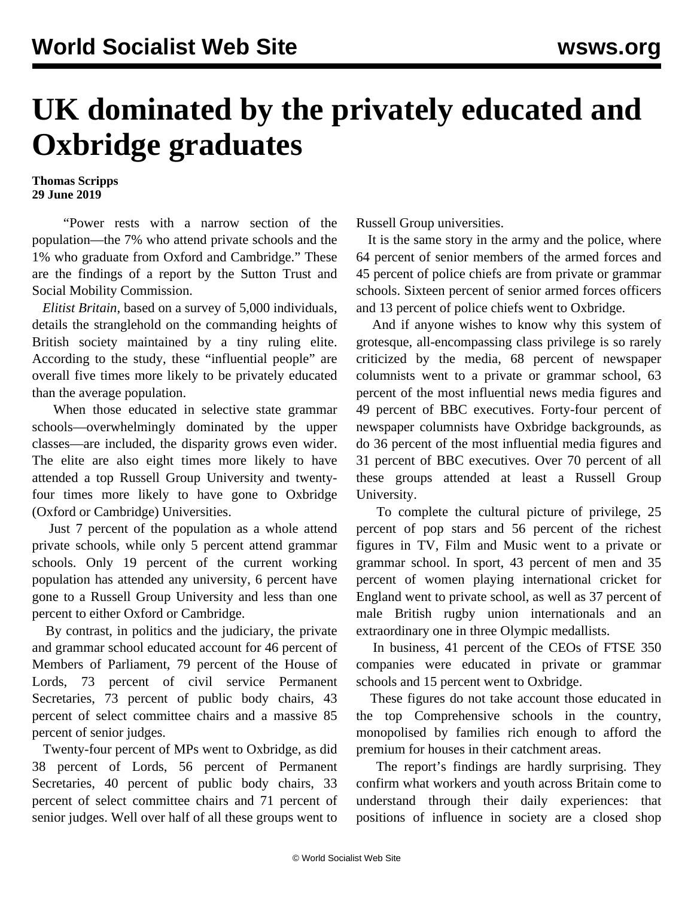## **UK dominated by the privately educated and Oxbridge graduates**

**Thomas Scripps 29 June 2019**

 "Power rests with a narrow section of the population—the 7% who attend private schools and the 1% who graduate from Oxford and Cambridge." These are the findings of a report by the Sutton Trust and Social Mobility Commission.

 *Elitist Britain*, based on a survey of 5,000 individuals, details the stranglehold on the commanding heights of British society maintained by a tiny ruling elite. According to the study, these "influential people" are overall five times more likely to be privately educated than the average population.

 When those educated in selective state grammar schools—overwhelmingly dominated by the upper classes—are included, the disparity grows even wider. The elite are also eight times more likely to have attended a top Russell Group University and twentyfour times more likely to have gone to Oxbridge (Oxford or Cambridge) Universities.

 Just 7 percent of the population as a whole attend private schools, while only 5 percent attend grammar schools. Only 19 percent of the current working population has attended any university, 6 percent have gone to a Russell Group University and less than one percent to either Oxford or Cambridge.

 By contrast, in politics and the judiciary, the private and grammar school educated account for 46 percent of Members of Parliament, 79 percent of the House of Lords, 73 percent of civil service Permanent Secretaries, 73 percent of public body chairs, 43 percent of select committee chairs and a massive 85 percent of senior judges.

 Twenty-four percent of MPs went to Oxbridge, as did 38 percent of Lords, 56 percent of Permanent Secretaries, 40 percent of public body chairs, 33 percent of select committee chairs and 71 percent of senior judges. Well over half of all these groups went to Russell Group universities.

 It is the same story in the army and the police, where 64 percent of senior members of the armed forces and 45 percent of police chiefs are from private or grammar schools. Sixteen percent of senior armed forces officers and 13 percent of police chiefs went to Oxbridge.

 And if anyone wishes to know why this system of grotesque, all-encompassing class privilege is so rarely criticized by the media, 68 percent of newspaper columnists went to a private or grammar school, 63 percent of the most influential news media figures and 49 percent of BBC executives. Forty-four percent of newspaper columnists have Oxbridge backgrounds, as do 36 percent of the most influential media figures and 31 percent of BBC executives. Over 70 percent of all these groups attended at least a Russell Group University.

 To complete the cultural picture of privilege, 25 percent of pop stars and 56 percent of the richest figures in TV, Film and Music went to a private or grammar school. In sport, 43 percent of men and 35 percent of women playing international cricket for England went to private school, as well as 37 percent of male British rugby union internationals and an extraordinary one in three Olympic medallists.

 In business, 41 percent of the CEOs of FTSE 350 companies were educated in private or grammar schools and 15 percent went to Oxbridge.

 These figures do not take account those educated in the top Comprehensive schools in the country, monopolised by families rich enough to afford the premium for houses in their catchment areas.

 The report's findings are hardly surprising. They confirm what workers and youth across Britain come to understand through their daily experiences: that positions of influence in society are a closed shop